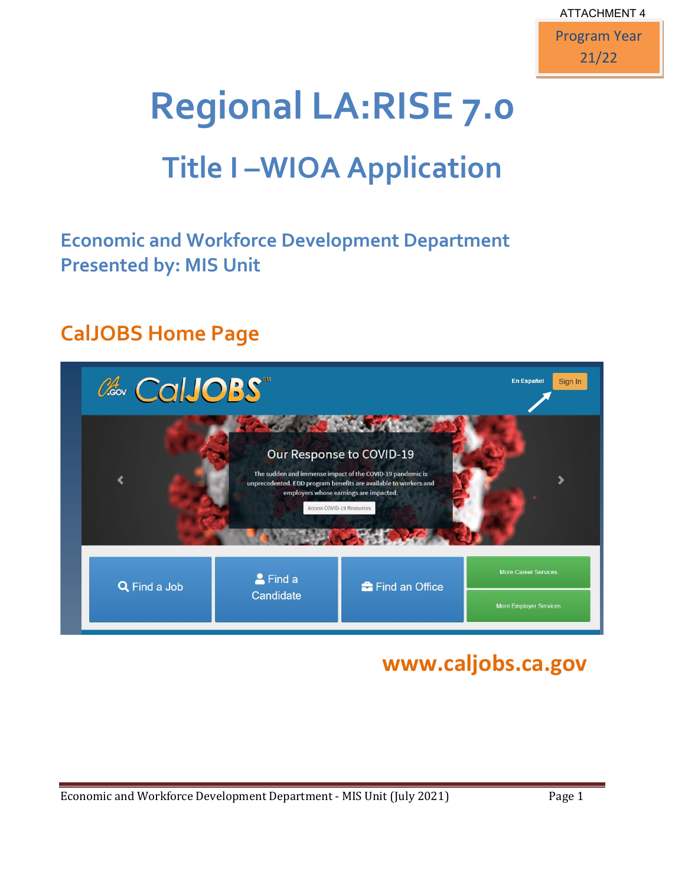

# **Regional LA:RISE 7.0**

# **Title I –WIOA Application**

### **Economic and Workforce Development Department Presented by: MIS Unit**

### **CalJOBS Home Page**

| CalJOBS      |                           |                                                                                                                                                                                                                          | <b>En Español</b><br>Sign In  |
|--------------|---------------------------|--------------------------------------------------------------------------------------------------------------------------------------------------------------------------------------------------------------------------|-------------------------------|
|              | Access COVID-19 Resources | <b>CONTRACTOR</b><br>Our Response to COVID-19<br>The sudden and immense impact of the COVID-19 pandemic is<br>unprecedented. EDD program benefits are available to workers and<br>employers whose earnings are impacted. |                               |
| Q Find a Job | & Find a<br>Candidate     | <sup>2</sup> Find an Office                                                                                                                                                                                              | More Career Services          |
|              |                           |                                                                                                                                                                                                                          | <b>More Employer Services</b> |

### **www.caljobs.ca.gov**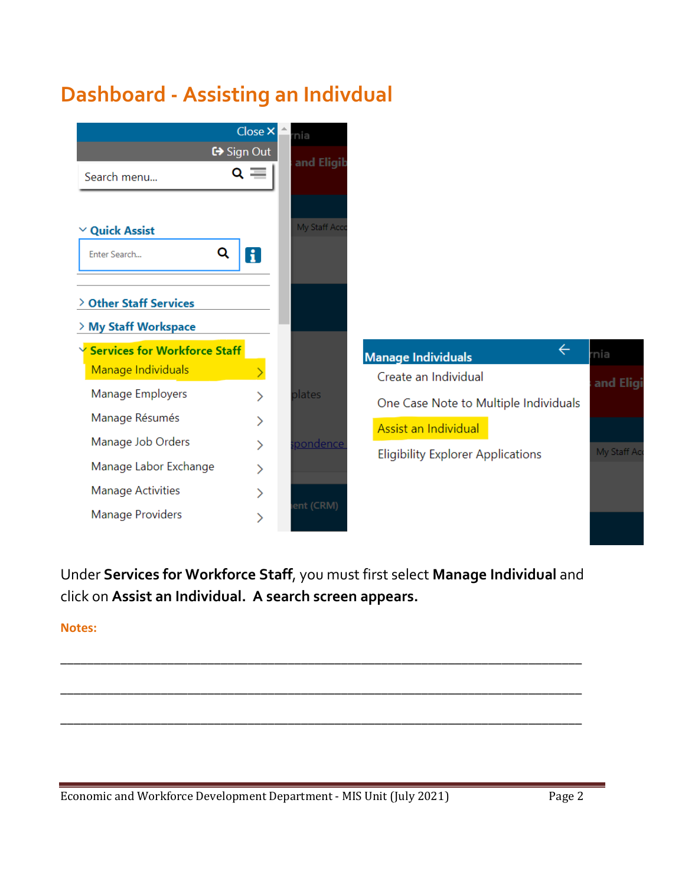# **Dashboard - Assisting an Indivdual**



Under **Services for Workforce Staff**, you must first select **Manage Individual** and click on **Assist an Individual. A search screen appears.**

\_\_\_\_\_\_\_\_\_\_\_\_\_\_\_\_\_\_\_\_\_\_\_\_\_\_\_\_\_\_\_\_\_\_\_\_\_\_\_\_\_\_\_\_\_\_\_\_\_\_\_\_\_\_\_\_\_\_\_\_\_\_\_\_\_\_\_\_\_\_\_\_\_\_\_\_\_\_

\_\_\_\_\_\_\_\_\_\_\_\_\_\_\_\_\_\_\_\_\_\_\_\_\_\_\_\_\_\_\_\_\_\_\_\_\_\_\_\_\_\_\_\_\_\_\_\_\_\_\_\_\_\_\_\_\_\_\_\_\_\_\_\_\_\_\_\_\_\_\_\_\_\_\_\_\_\_

\_\_\_\_\_\_\_\_\_\_\_\_\_\_\_\_\_\_\_\_\_\_\_\_\_\_\_\_\_\_\_\_\_\_\_\_\_\_\_\_\_\_\_\_\_\_\_\_\_\_\_\_\_\_\_\_\_\_\_\_\_\_\_\_\_\_\_\_\_\_\_\_\_\_\_\_\_\_

**Notes:**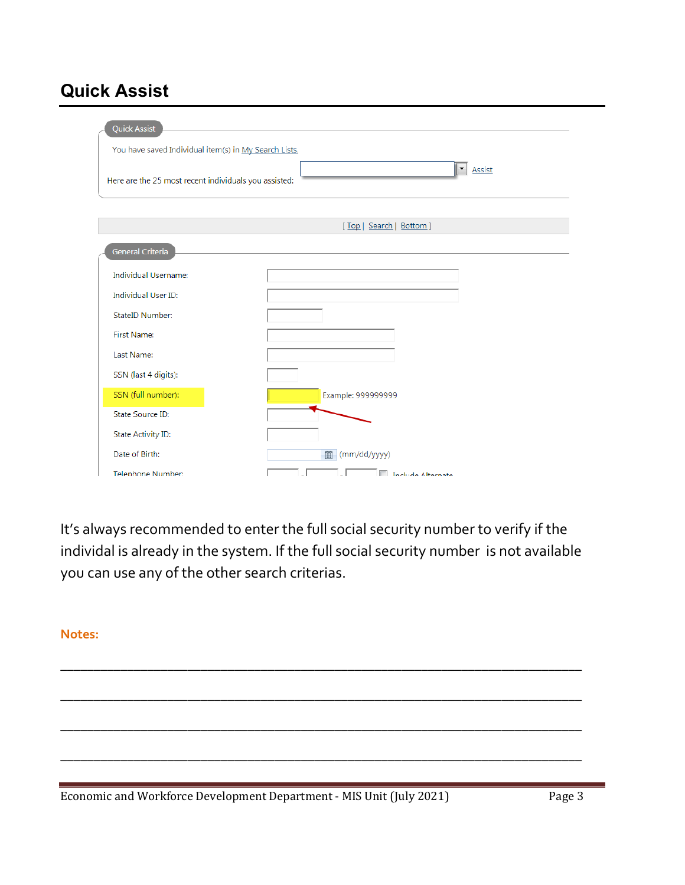### **Quick Assist**

| <b>Quick Assist</b>                                   |                          |
|-------------------------------------------------------|--------------------------|
| You have saved Individual item(s) in My Search Lists. |                          |
| Here are the 25 most recent individuals you assisted: | Assist<br>▼              |
|                                                       | [Top   Search   Bottom ] |
| General Criteria                                      |                          |
| <b>Individual Username:</b>                           |                          |
| <b>Individual User ID:</b>                            |                          |
| StateID Number:                                       |                          |
| <b>First Name:</b>                                    |                          |
| Last Name:                                            |                          |
| SSN (last 4 digits):                                  |                          |
| SSN (full number):                                    | Example: 999999999       |
| State Source ID:                                      |                          |
| State Activity ID:                                    |                          |
| Date of Birth:                                        | (mm/dd/yyyy)<br>曲        |
| Telephone Number:                                     | <b>Include Alternate</b> |

It's always recommended to enter the full social security number to verify if the individal is already in the system. If the full social security number is not available you can use any of the other search criterias.

\_\_\_\_\_\_\_\_\_\_\_\_\_\_\_\_\_\_\_\_\_\_\_\_\_\_\_\_\_\_\_\_\_\_\_\_\_\_\_\_\_\_\_\_\_\_\_\_\_\_\_\_\_\_\_\_\_\_\_\_\_\_\_\_\_\_\_\_\_\_\_\_\_\_\_\_\_\_

\_\_\_\_\_\_\_\_\_\_\_\_\_\_\_\_\_\_\_\_\_\_\_\_\_\_\_\_\_\_\_\_\_\_\_\_\_\_\_\_\_\_\_\_\_\_\_\_\_\_\_\_\_\_\_\_\_\_\_\_\_\_\_\_\_\_\_\_\_\_\_\_\_\_\_\_\_\_

\_\_\_\_\_\_\_\_\_\_\_\_\_\_\_\_\_\_\_\_\_\_\_\_\_\_\_\_\_\_\_\_\_\_\_\_\_\_\_\_\_\_\_\_\_\_\_\_\_\_\_\_\_\_\_\_\_\_\_\_\_\_\_\_\_\_\_\_\_\_\_\_\_\_\_\_\_\_

\_\_\_\_\_\_\_\_\_\_\_\_\_\_\_\_\_\_\_\_\_\_\_\_\_\_\_\_\_\_\_\_\_\_\_\_\_\_\_\_\_\_\_\_\_\_\_\_\_\_\_\_\_\_\_\_\_\_\_\_\_\_\_\_\_\_\_\_\_\_\_\_\_\_\_\_\_\_

#### **Notes:**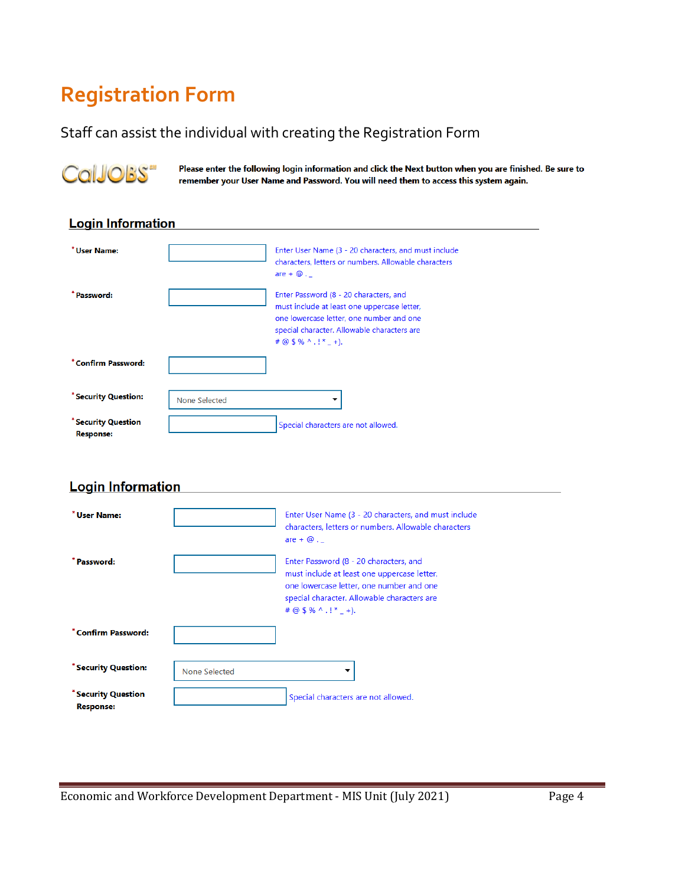# **Registration Form**

#### Staff can assist the individual with creating the Registration Form



Please enter the following login information and click the Next button when you are finished. Be sure to remember your User Name and Password. You will need them to access this system again.

#### **Login Information**

| * User Name:                            |               | Enter User Name (3 - 20 characters, and must include<br>characters, letters or numbers. Allowable characters<br>are $+ \omega$ .                                                                           |
|-----------------------------------------|---------------|------------------------------------------------------------------------------------------------------------------------------------------------------------------------------------------------------------|
| * Password:                             |               | Enter Password (8 - 20 characters, and<br>must include at least one uppercase letter,<br>one lowercase letter, one number and one<br>special character. Allowable characters are<br># @ $$$ % ^ .! $*$ +). |
| *Confirm Password:                      |               |                                                                                                                                                                                                            |
| * Security Question:                    | None Selected |                                                                                                                                                                                                            |
| * Security Question<br><b>Response:</b> |               | Special characters are not allowed.                                                                                                                                                                        |

#### **Login Information**

| * User Name:                                 | Enter User Name (3 - 20 characters, and must include<br>characters, letters or numbers. Allowable characters<br>are $+ \omega$ .                                                                            |
|----------------------------------------------|-------------------------------------------------------------------------------------------------------------------------------------------------------------------------------------------------------------|
| * Password:                                  | Enter Password (8 - 20 characters, and<br>must include at least one uppercase letter,<br>one lowercase letter, one number and one<br>special character. Allowable characters are<br># @ $$$ % ^ .!* $-$ +). |
| *Confirm Password:                           |                                                                                                                                                                                                             |
| * Security Question:<br>None Selected        | ▼                                                                                                                                                                                                           |
| <b>Security Question</b><br><b>Response:</b> | Special characters are not allowed.                                                                                                                                                                         |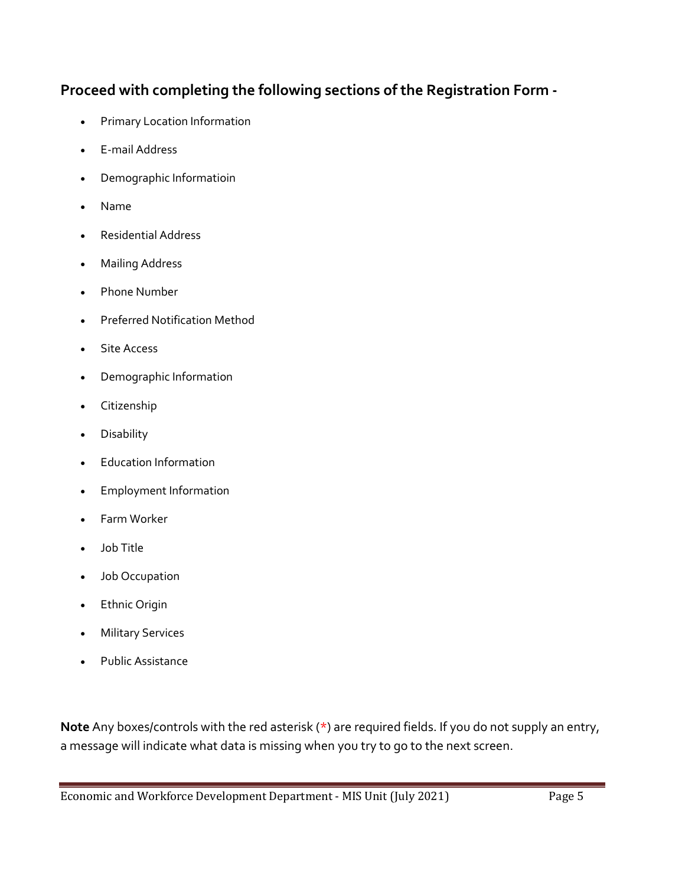#### **Proceed with completing the following sections of the Registration Form -**

- Primary Location Information
- E-mail Address
- Demographic Informatioin
- Name
- Residential Address
- Mailing Address
- Phone Number
- Preferred Notification Method
- Site Access
- Demographic Information
- Citizenship
- Disability
- Education Information
- Employment Information
- Farm Worker
- Job Title
- Job Occupation
- **Ethnic Origin**
- **Military Services**
- Public Assistance

**Note** Any boxes/controls with the red asterisk (\*) are required fields. If you do not supply an entry, a message will indicate what data is missing when you try to go to the next screen.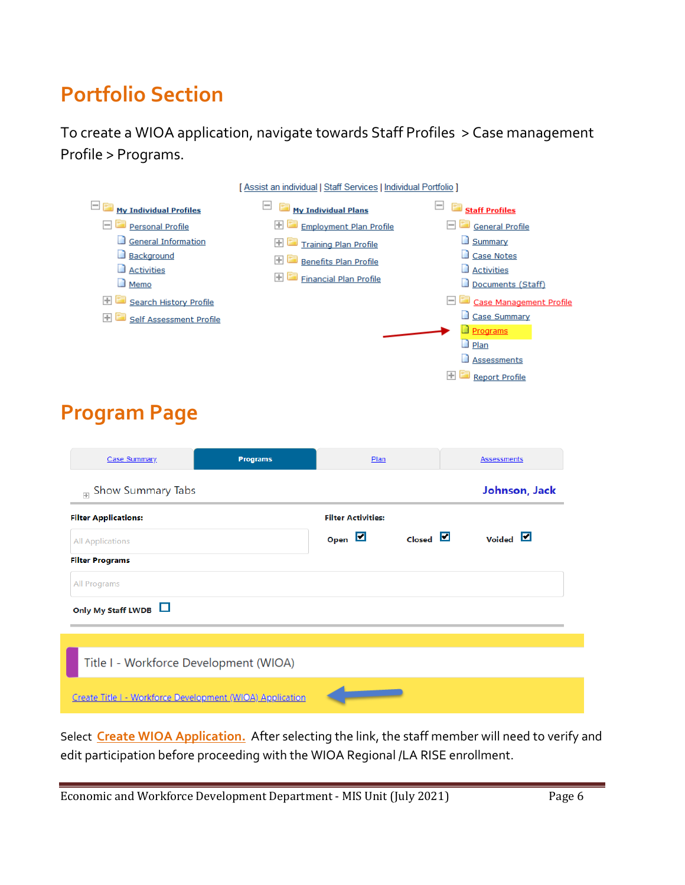# **Portfolio Section**

To create a WIOA application, navigate towards Staff Profiles > Case management Profile > Programs.



Select **Create WIOA Application.** After selecting the link, the staff member will need to verify and edit participation before proceeding with the WIOA Regional /LA RISE enrollment.

Economic and Workforce Development Department - MIS Unit (July 2021) Page 6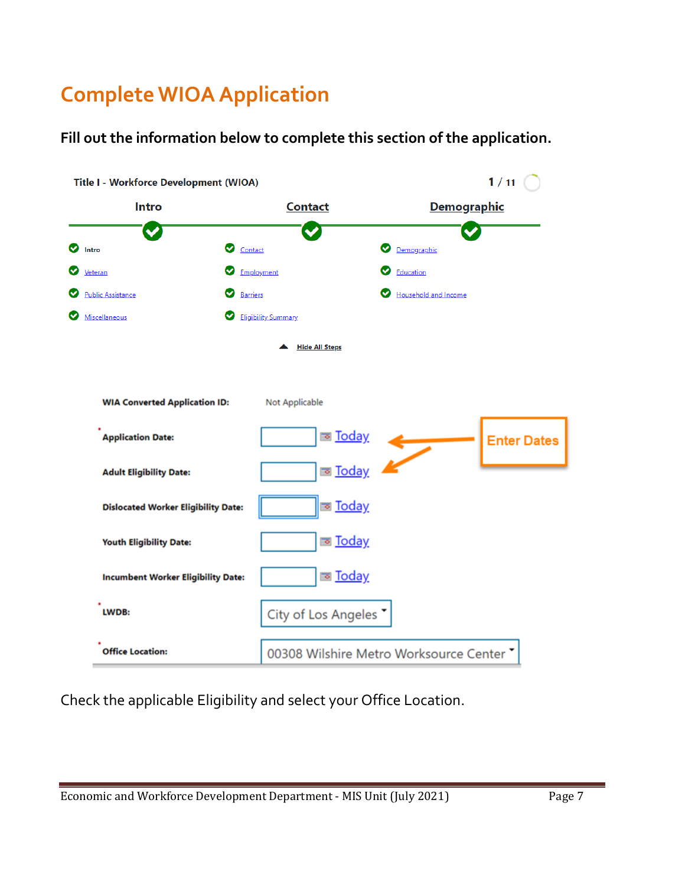# **Complete WIOA Application**

**Fill out the information below to complete this section of the application.**



Check the applicable Eligibility and select your Office Location.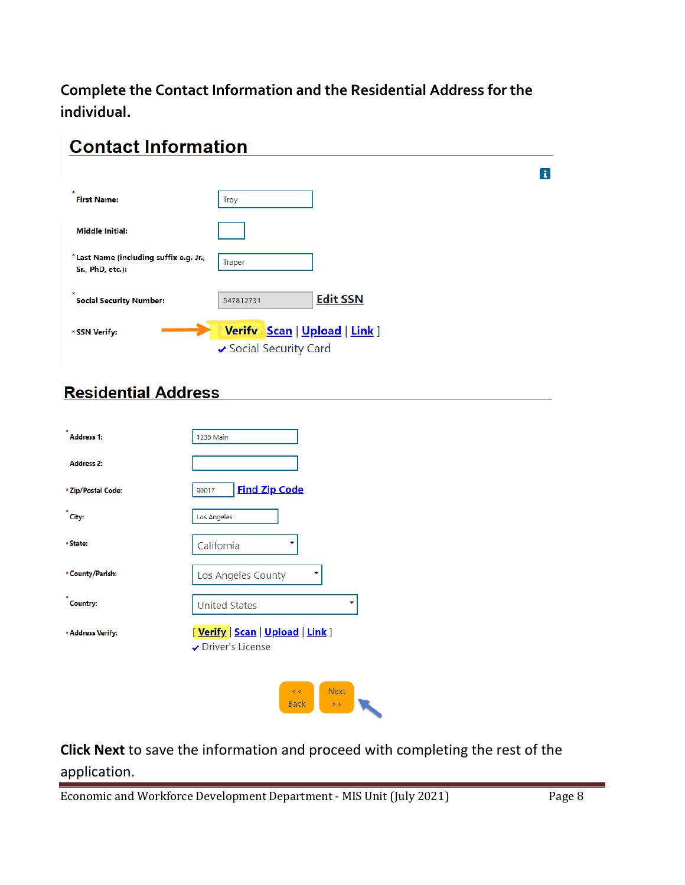**Complete the Contact Information and the Residential Address for the individual.**

| <b>Contact Information</b>                                  |                                                           |                 |    |
|-------------------------------------------------------------|-----------------------------------------------------------|-----------------|----|
|                                                             |                                                           |                 | Ã. |
| <b>First Name:</b>                                          | Troy                                                      |                 |    |
| <b>Middle Initial:</b>                                      |                                                           |                 |    |
| * Last Name (including suffix e.g. Jr.,<br>Sr., PhD, etc.): | Traper                                                    |                 |    |
| <b>Social Security Number:</b>                              | 547812731                                                 | <b>Edit SSN</b> |    |
| * SSN Verify:                                               | Verify   Scan   Upload   Link ]<br>✔ Social Security Card |                 |    |

#### **Residential Address**

| <b>Address 1:</b>  | <b>1235 Main</b>                                      |
|--------------------|-------------------------------------------------------|
| <b>Address 2:</b>  |                                                       |
| * Zip/Postal Code: | <b>Find Zip Code</b><br>90017                         |
| City:              | Los Angeles                                           |
| * State:           | California                                            |
| * County/Parish:   | Los Angeles County                                    |
| <b>Country:</b>    | <b>United States</b>                                  |
| * Address Verify:  | [ Verify   Scan   Upload   Link ]<br>Driver's License |
|                    | <b>Next</b><br><<<br><b>Back</b><br>>                 |

#### **Click Next** to save the information and proceed with completing the rest of the application.

 $\langle \rangle >> \rangle$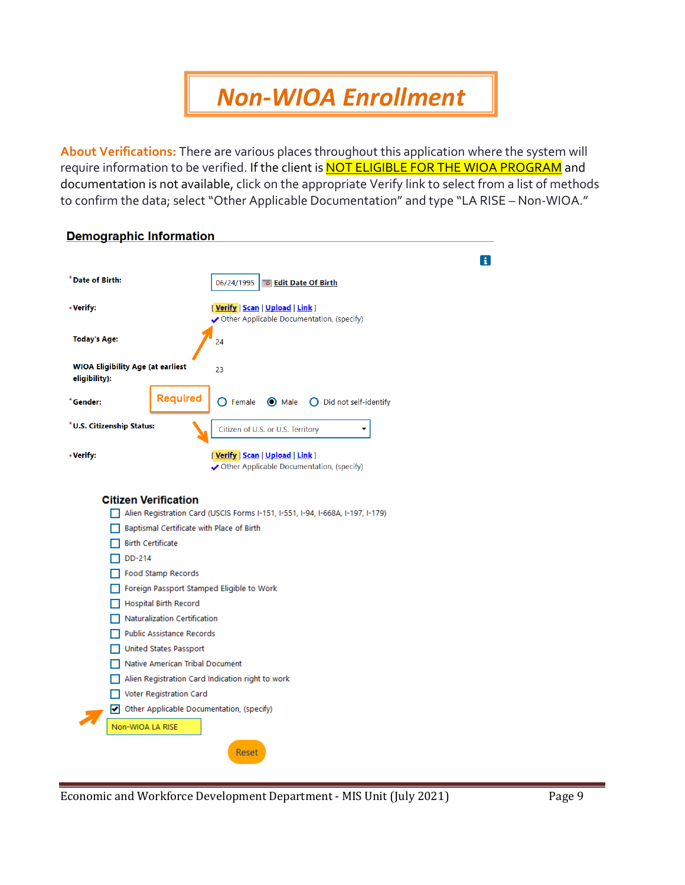# *Non-WIOA Enrollment*

**About Verifications:** There are various places throughout this application where the system will require information to be verified. If the client is **NOT ELIGIBLE FOR THE WIOA PROGRAM** and documentation is not available, click on the appropriate Verify link to select from a list of methods to confirm the data; select "Other Applicable Documentation" and type "LA RISE – Non-WIOA."

| <b>Demographic Information</b>                            |                                           |                                                                                  |   |
|-----------------------------------------------------------|-------------------------------------------|----------------------------------------------------------------------------------|---|
|                                                           |                                           |                                                                                  | H |
| *Date of Birth:                                           |                                           | 06/24/1995<br><b>Bo Edit Date Of Birth</b>                                       |   |
| *Verify:                                                  |                                           | [Verify   Scan   Upload   Link ]<br>Other Applicable Documentation, (specify)    |   |
| <b>Today's Age:</b>                                       |                                           | 24                                                                               |   |
| <b>WIOA Eligibility Age (at earliest</b><br>eligibility): |                                           | 23                                                                               |   |
| *Gender:                                                  | <b>Required</b>                           | <b>O</b> Male<br>$\bigcap$ Did not self-identify<br>$\bigcap$ Female             |   |
| *U.S. Citizenship Status:                                 |                                           | Citizen of U.S. or U.S. Territory                                                |   |
| *Verify:                                                  |                                           | [ Verify   Scan   Upload   Link ]<br>✔ Other Applicable Documentation, (specify) |   |
|                                                           | <b>Citizen Verification</b>               | Alien Registration Card (USCIS Forms I-151, I-551, I-94, I-668A, I-197, I-179)   |   |
|                                                           | Baptismal Certificate with Place of Birth |                                                                                  |   |
|                                                           | <b>Birth Certificate</b>                  |                                                                                  |   |
| DD-214                                                    |                                           |                                                                                  |   |
|                                                           | Food Stamp Records                        |                                                                                  |   |
|                                                           |                                           | Foreign Passport Stamped Eligible to Work                                        |   |
|                                                           | <b>Hospital Birth Record</b>              |                                                                                  |   |
|                                                           | Naturalization Certification              |                                                                                  |   |
|                                                           | Public Assistance Records                 |                                                                                  |   |
|                                                           | United States Passport                    |                                                                                  |   |
|                                                           | Native American Tribal Document           |                                                                                  |   |
|                                                           |                                           | Alien Registration Card Indication right to work                                 |   |
|                                                           | Voter Registration Card                   |                                                                                  |   |
|                                                           |                                           | Other Applicable Documentation, (specify)                                        |   |
| Non-WIOA LA RISE                                          |                                           |                                                                                  |   |
|                                                           |                                           | Reset                                                                            |   |
|                                                           |                                           |                                                                                  |   |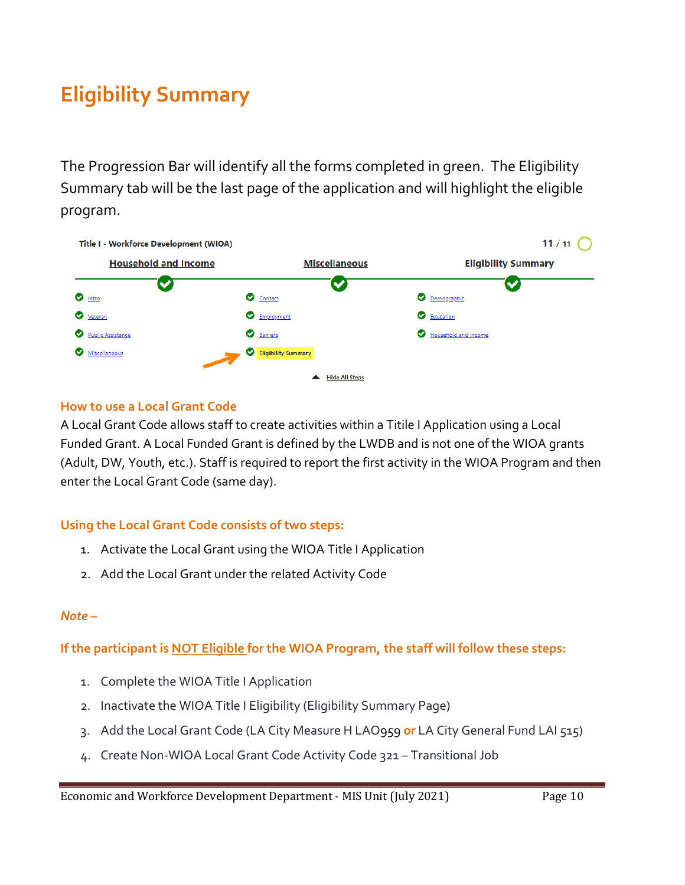# **Eligibility Summary**

The Progression Bar will identify all the forms completed in green. The Eligibility Summary tab will be the last page of the application and will highlight the eligible program.



#### **How to use a Local Grant Code**

A Local Grant Code allows staff to create activities within a Titile I Application using a Local Funded Grant. A Local Funded Grant is defined by the LWDB and is not one of the WIOA grants (Adult, DW, Youth, etc.). Staff is required to report the first activity in the WIOA Program and then enter the Local Grant Code (same day).

#### **Using the Local Grant Code consists of two steps:**

- 1. Activate the Local Grant using the WIOA Title I Application
- 2. Add the Local Grant under the related Activity Code

#### *Note –*

**If the participant is NOT Eligible for the WIOA Program, the staff will follow these steps:**

- 1. Complete the WIOA Title I Application
- 2. Inactivate the WIOA Title I Eligibility (Eligibility Summary Page)
- 3. Add the Local Grant Code (LA City Measure H LAO959 **or** LA City General Fund LAI 515)
- 4. Create Non-WIOA Local Grant Code Activity Code 321 Transitional Job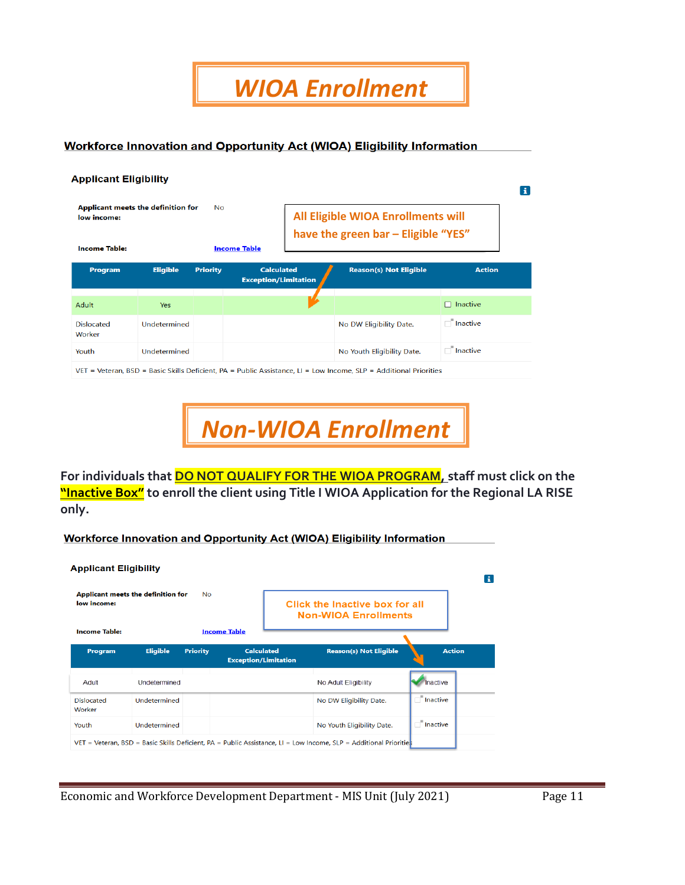*WIOA Enrollment*

**Workforce Innovation and Opportunity Act (WIOA) Eligibility Information** 

| <b>Applicant Eligibility</b> |                 |                                    |                                                                           |                                                  |                 |  |
|------------------------------|-----------------|------------------------------------|---------------------------------------------------------------------------|--------------------------------------------------|-----------------|--|
|                              | No.             |                                    | All Eligible WIOA Enrollments will<br>have the green bar - Eligible "YES" |                                                  |                 |  |
| <b>Eligible</b>              | <b>Priority</b> |                                    |                                                                           | <b>Reason(s) Not Eligible</b>                    | <b>Action</b>   |  |
| <b>Yes</b>                   |                 |                                    |                                                                           |                                                  | $\Box$ Inactive |  |
| Undetermined                 |                 |                                    |                                                                           | No DW Eligibility Date.                          | $\Box$ Inactive |  |
| Undetermined                 |                 |                                    |                                                                           | No Youth Eligibility Date.                       | $\Box$ Inactive |  |
|                              |                 | Applicant meets the definition for | <b>Income Table</b>                                                       | <b>Calculated</b><br><b>Exception/Limitation</b> |                 |  |

Basic Skills Deficient, PA = Public Assistance, LI = Low Income, SLP

*Non-WIOA Enrollment*

**For individuals that DO NOT QUALIFY FOR THE WIOA PROGRAM, staff must click on the "Inactive Box" to enroll the client using Title I WIOA Application for the Regional LA RISE only.**

**Workforce Innovation and Opportunity Act (WIOA) Eligibility Information** 

| <b>Applicant Eligibility</b> |                                    |                 |                                                  |                                                                                                                   |                 | п |
|------------------------------|------------------------------------|-----------------|--------------------------------------------------|-------------------------------------------------------------------------------------------------------------------|-----------------|---|
| low income:                  | Applicant meets the definition for | <b>No</b>       |                                                  | Click the Inactive box for all<br><b>Non-WIOA Enrollments</b>                                                     |                 |   |
| <b>Income Table:</b>         |                                    |                 | <b>Income Table</b>                              |                                                                                                                   |                 |   |
| Program                      | <b>Eligible</b>                    | <b>Priority</b> | <b>Calculated</b><br><b>Exception/Limitation</b> | <b>Reason(s) Not Eligible</b>                                                                                     | <b>Action</b>   |   |
| Adult                        | Undetermined                       |                 |                                                  | No Adult Eligibility                                                                                              | Inactive        |   |
| <b>Dislocated</b><br>Worker  | Undetermined                       |                 |                                                  | No DW Eligibility Date.                                                                                           | $\Box$ Inactive |   |
| Youth                        | Undetermined                       |                 |                                                  | No Youth Eligibility Date.                                                                                        | $\Box$ Inactive |   |
|                              |                                    |                 |                                                  | VET = Veteran, BSD = Basic Skills Deficient, PA = Public Assistance, LI = Low Income, SLP = Additional Priorities |                 |   |

Economic and Workforce Development Department - MIS Unit (July 2021) Page 11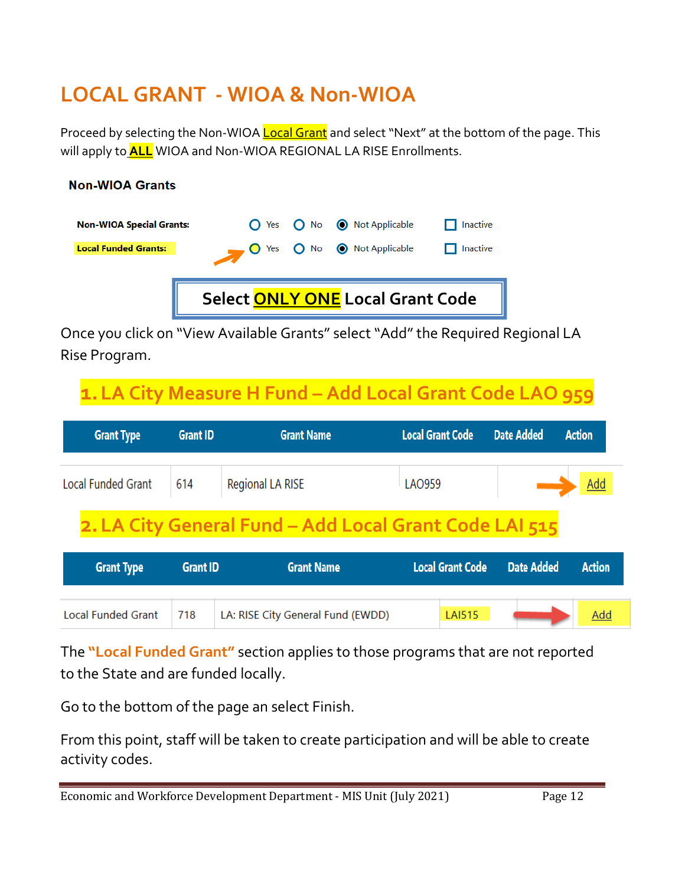### **LOCAL GRANT - WIOA & Non-WIOA**

**Non-WIOA Grants** 

Proceed by selecting the Non-WIOA **Local Grant** and select "Next" at the bottom of the page. This will apply to **ALL** WIOA and Non-WIOA REGIONAL LA RISE Enrollments.

#### **Non-WIOA Special Grants:**  $O$  Yes  $O$  No Not Applicable  $\Box$  Inactive **Local Funded Grants:**  $\bigcap$  Yes  $\bigcap$  No Not Applicable  $\Box$  Inactive **Select ONLY ONE Local Grant Code**

Once you click on "View Available Grants" select "Add" the Required Regional LA Rise Program.

# **1.LA City Measure H Fund – Add Local Grant Code LAO 959**

| <b>Grant Type</b>                           | <b>Grant ID</b> | <b>Grant Name</b> | Local Grant Code Date Added | <b>Action</b> |
|---------------------------------------------|-----------------|-------------------|-----------------------------|---------------|
| Local Funded Grant   614   Regional LA RISE |                 |                   | LAO959                      | Add           |
|                                             |                 |                   |                             |               |

# **2.LA City General Fund – Add Local Grant Code LAI 515**

| <b>Grant Type</b>         | <b>Grant ID</b> | <b>Grant Name</b>                 |               | Local Grant Code Date Added | <b>Action</b> |
|---------------------------|-----------------|-----------------------------------|---------------|-----------------------------|---------------|
|                           |                 |                                   |               |                             |               |
| <b>Local Funded Grant</b> | 718             | LA: RISE City General Fund (EWDD) | <b>LAI515</b> |                             | Add           |

The **"Local Funded Grant"** section applies to those programs that are not reported to the State and are funded locally.

Go to the bottom of the page an select Finish.

From this point, staff will be taken to create participation and will be able to create activity codes.

Economic and Workforce Development Department - MIS Unit (July 2021) Page 12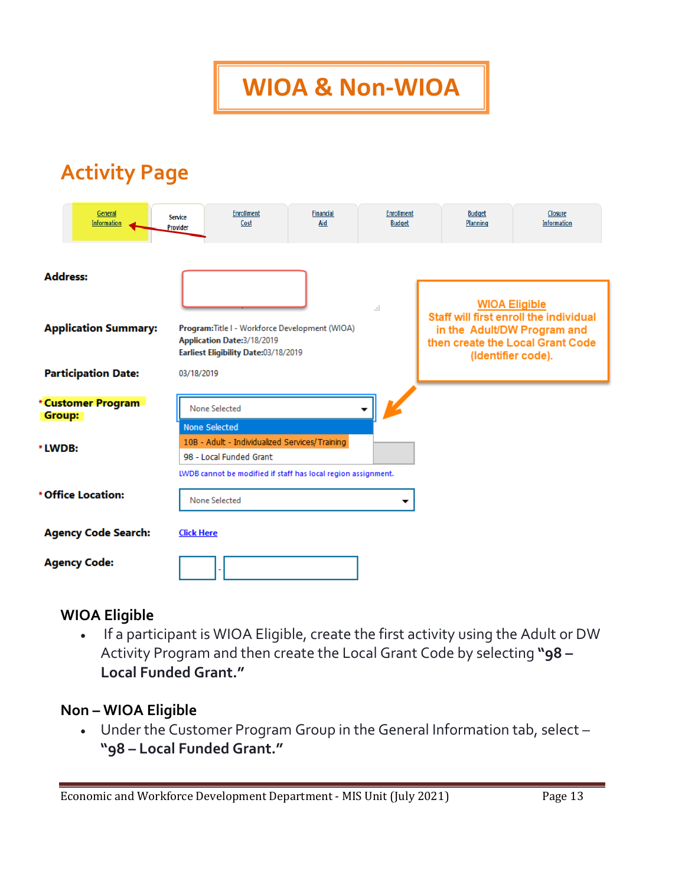**WIOA & Non-WIOA**

### **Activity Page**

|                 | General<br><b>Information</b> | <b>Service</b><br>Provider | <b>Enrollment</b><br>Cost                                                                                             | <b>Financial</b><br>Aid | <b>Enrollment</b><br><b>Budget</b> | <b>Budget</b><br>Planning |                      | Closure<br><b>Information</b>                                                                                                   |
|-----------------|-------------------------------|----------------------------|-----------------------------------------------------------------------------------------------------------------------|-------------------------|------------------------------------|---------------------------|----------------------|---------------------------------------------------------------------------------------------------------------------------------|
| <b>Address:</b> |                               |                            |                                                                                                                       |                         | a.                                 |                           | <b>WIOA Eligible</b> |                                                                                                                                 |
|                 | <b>Application Summary:</b>   |                            | Program: Title I - Workforce Development (WIOA)<br>Application Date:3/18/2019<br>Earliest Eligibility Date:03/18/2019 |                         |                                    |                           |                      | Staff will first enroll the individual<br>in the Adult/DW Program and<br>then create the Local Grant Code<br>(Identifier code). |
|                 | <b>Participation Date:</b>    | 03/18/2019                 |                                                                                                                       |                         |                                    |                           |                      |                                                                                                                                 |
| Group:          | <b>Customer Program</b>       |                            | <b>None Selected</b><br><b>None Selected</b>                                                                          |                         |                                    |                           |                      |                                                                                                                                 |
| LWDB:           |                               |                            | 10B - Adult - Individualized Services/Training<br>98 - Local Funded Grant                                             |                         |                                    |                           |                      |                                                                                                                                 |
|                 | <b>Office Location:</b>       |                            | LWDB cannot be modified if staff has local region assignment.<br>None Selected                                        |                         | ▼                                  |                           |                      |                                                                                                                                 |
|                 | <b>Agency Code Search:</b>    | <b>Click Here</b>          |                                                                                                                       |                         |                                    |                           |                      |                                                                                                                                 |
|                 | <b>Agency Code:</b>           |                            |                                                                                                                       |                         |                                    |                           |                      |                                                                                                                                 |

#### **WIOA Eligible**

• If a participant is WIOA Eligible, create the first activity using the Adult or DW Activity Program and then create the Local Grant Code by selecting **"98 – Local Funded Grant."**

#### **Non – WIOA Eligible**

• Under the Customer Program Group in the General Information tab, select – **"98 – Local Funded Grant."**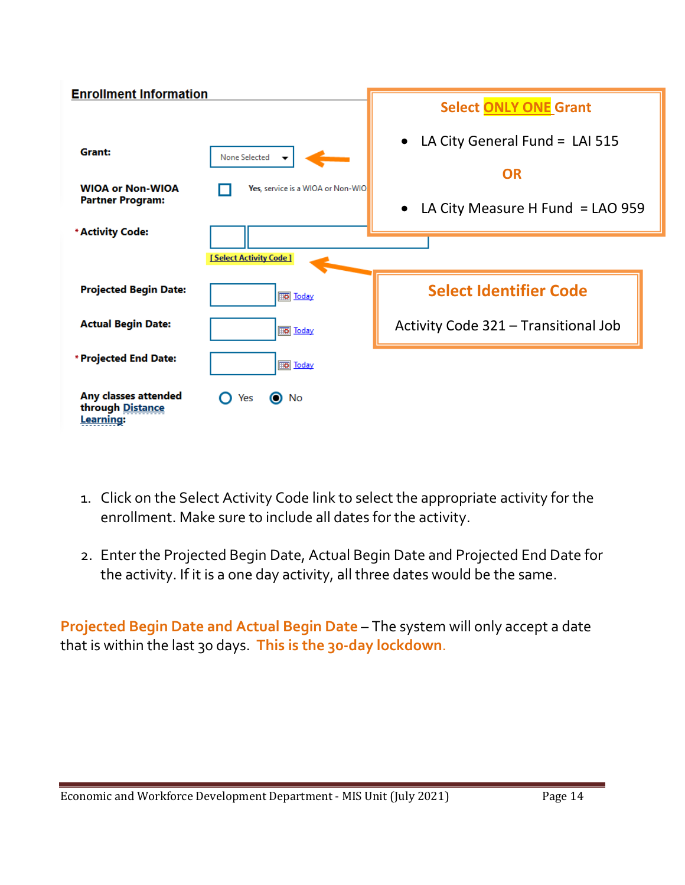

- 1. Click on the Select Activity Code link to select the appropriate activity for the enrollment. Make sure to include all dates for the activity.
- 2. Enter the Projected Begin Date, Actual Begin Date and Projected End Date for the activity. If it is a one day activity, all three dates would be the same.

**Projected Begin Date and Actual Begin Date** – The system will only accept a date that is within the last 30 days. **This is the 30-day lockdown**.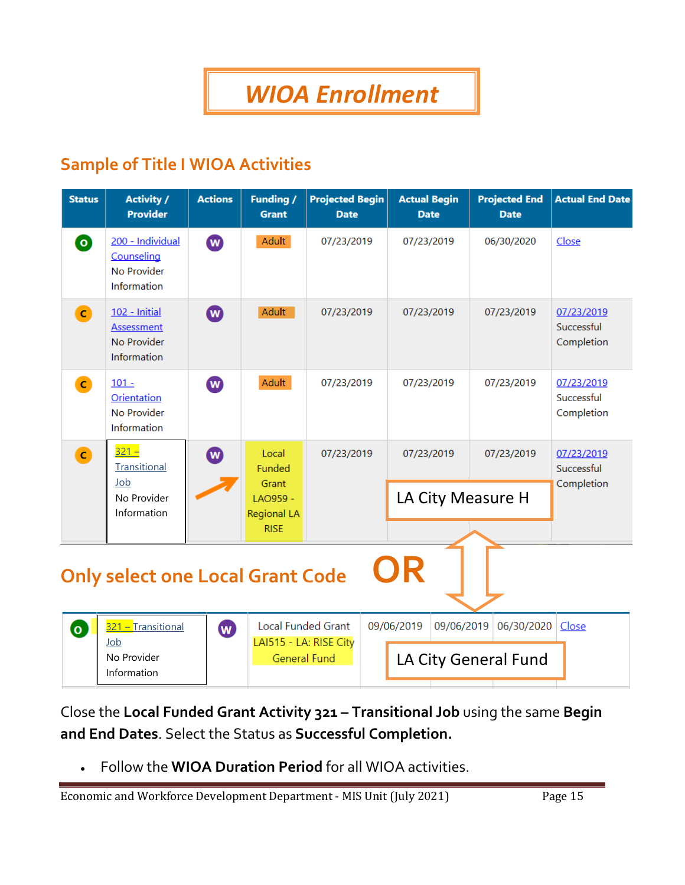### **Sample of Title I WIOA Activities**

| <b>Status</b>                                 | <b>Activity /</b><br><b>Provider</b>                             | <b>Actions</b>   | <b>Funding /</b><br><b>Grant</b>              | <b>Projected Begin</b><br><b>Date</b> | <b>Actual Begin</b><br><b>Date</b> | <b>Projected End</b><br><b>Date</b> | <b>Actual End Date</b>                 |  |  |  |  |
|-----------------------------------------------|------------------------------------------------------------------|------------------|-----------------------------------------------|---------------------------------------|------------------------------------|-------------------------------------|----------------------------------------|--|--|--|--|
| $\bullet$                                     | 200 - Individual<br>Counseling<br>No Provider<br>Information     | (W)              | Adult                                         | 07/23/2019                            | 07/23/2019                         | 06/30/2020                          | Close                                  |  |  |  |  |
| $\bullet$                                     | 102 - Initial<br><b>Assessment</b><br>No Provider<br>Information | $\mathbf w$      | Adult                                         | 07/23/2019                            | 07/23/2019                         | 07/23/2019                          | 07/23/2019<br>Successful<br>Completion |  |  |  |  |
| $\bullet$                                     | $101 -$<br>Orientation<br>No Provider<br>Information             | $\bf \bm \omega$ | Adult                                         | 07/23/2019                            | 07/23/2019                         | 07/23/2019                          | 07/23/2019<br>Successful<br>Completion |  |  |  |  |
| $\bullet$                                     | $321 -$<br><b>Transitional</b>                                   | $(\mathbf{w})$   | Local<br><b>Funded</b>                        | 07/23/2019                            | 07/23/2019                         | 07/23/2019                          | 07/23/2019<br>Successful               |  |  |  |  |
|                                               | Job<br>No Provider<br>Information                                |                  | Grant<br>LAO959 -<br><b>Regional LA</b>       |                                       | LA City Measure H                  |                                     | Completion                             |  |  |  |  |
|                                               |                                                                  |                  | <b>RISE</b>                                   |                                       |                                    |                                     |                                        |  |  |  |  |
| OR<br><b>Only select one Local Grant Code</b> |                                                                  |                  |                                               |                                       |                                    |                                     |                                        |  |  |  |  |
| (o                                            | 321 – Transitional                                               | $\bf{w}$         | <b>Local Funded Grant</b>                     |                                       | 09/06/2019<br>09/06/2019           | 06/30/2020                          | Close                                  |  |  |  |  |
|                                               | Job<br>No Provider<br>Information                                |                  | LAI515 - LA: RISE City<br><b>General Fund</b> |                                       |                                    | LA City General Fund                |                                        |  |  |  |  |

Close the **Local Funded Grant Activity 321 – Transitional Job** using the same **Begin and End Dates**. Select the Status as **Successful Completion.**

• Follow the **WIOA Duration Period** for all WIOA activities.